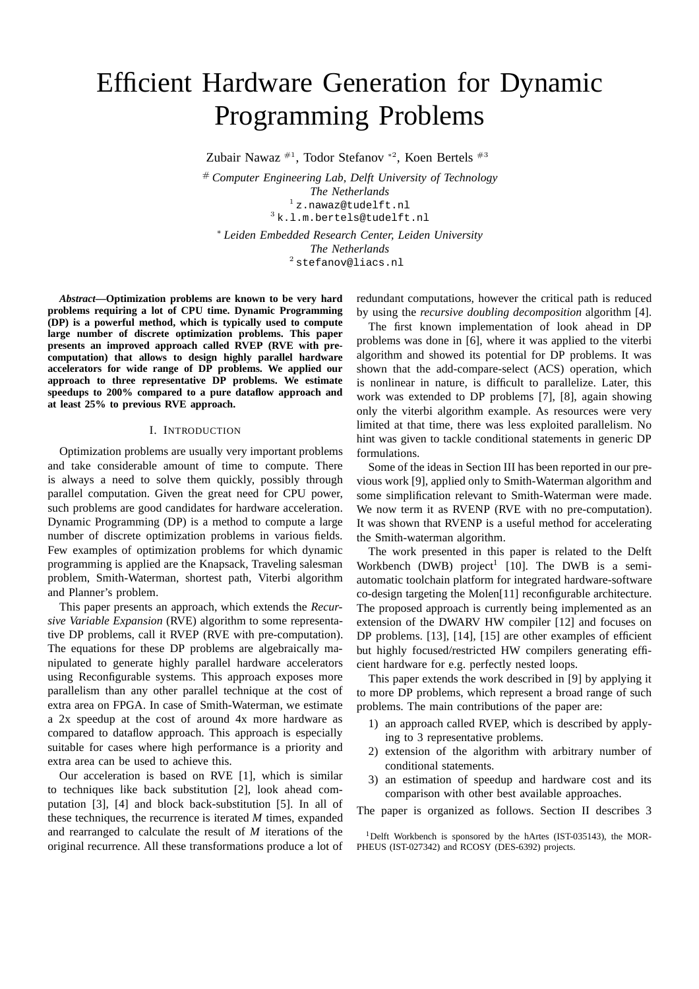# Efficient Hardware Generation for Dynamic Programming Problems

Zubair Nawaz #1, Todor Stefanov <sup>∗</sup><sup>2</sup> , Koen Bertels #3

# *Computer Engineering Lab, Delft University of Technology The Netherlands* <sup>1</sup> z.nawaz@tudelft.nl <sup>3</sup> k.l.m.bertels@tudelft.nl <sup>∗</sup> *Leiden Embedded Research Center, Leiden University The Netherlands* <sup>2</sup> stefanov@liacs.nl

*Abstract***—Optimization problems are known to be very hard problems requiring a lot of CPU time. Dynamic Programming (DP) is a powerful method, which is typically used to compute large number of discrete optimization problems. This paper presents an improved approach called RVEP (RVE with precomputation) that allows to design highly parallel hardware accelerators for wide range of DP problems. We applied our approach to three representative DP problems. We estimate speedups to 200% compared to a pure dataflow approach and at least 25% to previous RVE approach.**

#### I. INTRODUCTION

Optimization problems are usually very important problems and take considerable amount of time to compute. There is always a need to solve them quickly, possibly through parallel computation. Given the great need for CPU power, such problems are good candidates for hardware acceleration. Dynamic Programming (DP) is a method to compute a large number of discrete optimization problems in various fields. Few examples of optimization problems for which dynamic programming is applied are the Knapsack, Traveling salesman problem, Smith-Waterman, shortest path, Viterbi algorithm and Planner's problem.

This paper presents an approach, which extends the *Recursive Variable Expansion* (RVE) algorithm to some representative DP problems, call it RVEP (RVE with pre-computation). The equations for these DP problems are algebraically manipulated to generate highly parallel hardware accelerators using Reconfigurable systems. This approach exposes more parallelism than any other parallel technique at the cost of extra area on FPGA. In case of Smith-Waterman, we estimate a 2x speedup at the cost of around 4x more hardware as compared to dataflow approach. This approach is especially suitable for cases where high performance is a priority and extra area can be used to achieve this.

Our acceleration is based on RVE [1], which is similar to techniques like back substitution [2], look ahead computation [3], [4] and block back-substitution [5]. In all of these techniques, the recurrence is iterated *M* times, expanded and rearranged to calculate the result of *M* iterations of the original recurrence. All these transformations produce a lot of redundant computations, however the critical path is reduced by using the *recursive doubling decomposition* algorithm [4].

The first known implementation of look ahead in DP problems was done in [6], where it was applied to the viterbi algorithm and showed its potential for DP problems. It was shown that the add-compare-select (ACS) operation, which is nonlinear in nature, is difficult to parallelize. Later, this work was extended to DP problems [7], [8], again showing only the viterbi algorithm example. As resources were very limited at that time, there was less exploited parallelism. No hint was given to tackle conditional statements in generic DP formulations.

Some of the ideas in Section III has been reported in our previous work [9], applied only to Smith-Waterman algorithm and some simplification relevant to Smith-Waterman were made. We now term it as RVENP (RVE with no pre-computation). It was shown that RVENP is a useful method for accelerating the Smith-waterman algorithm.

The work presented in this paper is related to the Delft Workbench (DWB) project<sup>1</sup> [10]. The DWB is a semiautomatic toolchain platform for integrated hardware-software co-design targeting the Molen[11] reconfigurable architecture. The proposed approach is currently being implemented as an extension of the DWARV HW compiler [12] and focuses on DP problems. [13], [14], [15] are other examples of efficient but highly focused/restricted HW compilers generating efficient hardware for e.g. perfectly nested loops.

This paper extends the work described in [9] by applying it to more DP problems, which represent a broad range of such problems. The main contributions of the paper are:

- 1) an approach called RVEP, which is described by applying to 3 representative problems.
- 2) extension of the algorithm with arbitrary number of conditional statements.
- 3) an estimation of speedup and hardware cost and its comparison with other best available approaches.

The paper is organized as follows. Section II describes 3

<sup>1</sup>Delft Workbench is sponsored by the hArtes (IST-035143), the MOR-PHEUS (IST-027342) and RCOSY (DES-6392) projects.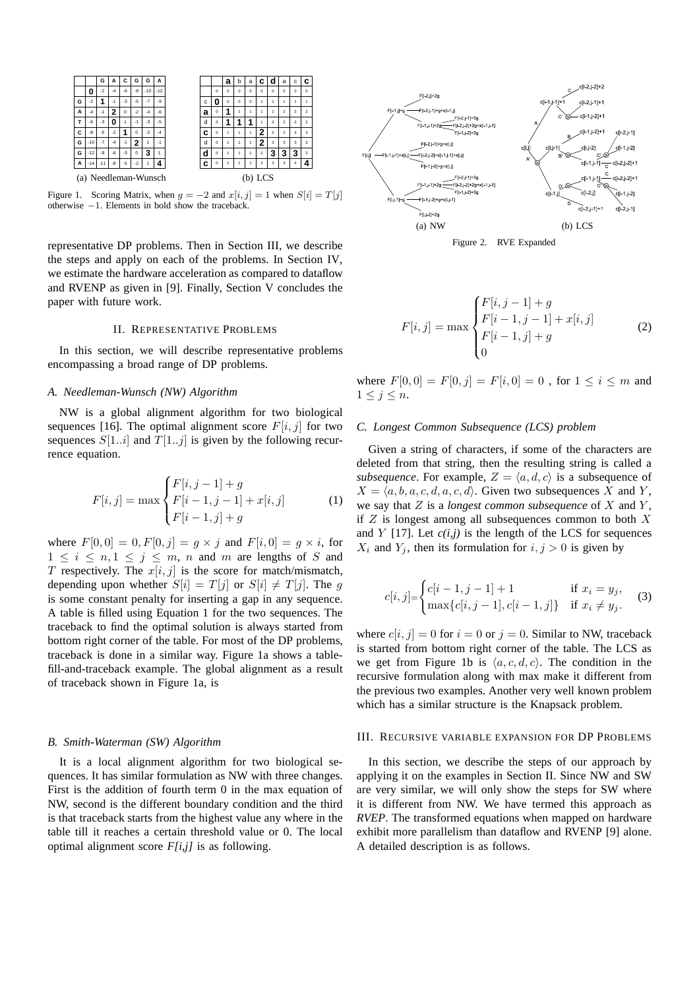

Figure 1. Scoring Matrix, when  $g = -2$  and  $x[i, j] = 1$  when  $S[i] = T[j]$ otherwise −1. Elements in bold show the traceback.

representative DP problems. Then in Section III, we describe the steps and apply on each of the problems. In Section IV, we estimate the hardware acceleration as compared to dataflow and RVENP as given in [9]. Finally, Section V concludes the paper with future work.

## II. REPRESENTATIVE PROBLEMS

In this section, we will describe representative problems encompassing a broad range of DP problems.

# *A. Needleman-Wunsch (NW) Algorithm*

NW is a global alignment algorithm for two biological sequences [16]. The optimal alignment score  $F[i, j]$  for two sequences  $S[1..i]$  and  $T[1..j]$  is given by the following recurrence equation.

$$
F[i,j] = \max \begin{cases} F[i,j-1] + g \\ F[i-1,j-1] + x[i,j] \\ F[i-1,j] + g \end{cases}
$$
 (1)

where  $F[0, 0] = 0, F[0, j] = g \times j$  and  $F[i, 0] = g \times i$ , for  $1 \leq i \leq n, 1 \leq j \leq m$ , n and m are lengths of S and T respectively. The  $x[i, j]$  is the score for match/mismatch, depending upon whether  $S[i] = T[j]$  or  $S[i] \neq T[j]$ . The g is some constant penalty for inserting a gap in any sequence. A table is filled using Equation 1 for the two sequences. The traceback to find the optimal solution is always started from bottom right corner of the table. For most of the DP problems, traceback is done in a similar way. Figure 1a shows a tablefill-and-traceback example. The global alignment as a result of traceback shown in Figure 1a, is

## *B. Smith-Waterman (SW) Algorithm*

It is a local alignment algorithm for two biological sequences. It has similar formulation as NW with three changes. First is the addition of fourth term 0 in the max equation of NW, second is the different boundary condition and the third is that traceback starts from the highest value any where in the table till it reaches a certain threshold value or 0. The local optimal alignment score *F[i,j]* is as following.



Figure 2. RVE Expanded

$$
F[i,j] = \max \begin{cases} F[i,j-1] + g \\ F[i-1,j-1] + x[i,j] \\ F[i-1,j] + g \\ 0 \end{cases}
$$
 (2)

where  $F[0, 0] = F[0, j] = F[i, 0] = 0$ , for  $1 \le i \le m$  and  $1 \leq j \leq n$ .

#### *C. Longest Common Subsequence (LCS) problem*

Given a string of characters, if some of the characters are deleted from that string, then the resulting string is called a *subsequence*. For example,  $Z = \langle a, d, c \rangle$  is a subsequence of  $X = \langle a, b, a, c, d, a, c, d \rangle$ . Given two subsequences X and Y, we say that  $Z$  is a *longest common subsequence* of  $X$  and  $Y$ , if  $Z$  is longest among all subsequences common to both  $X$ and  $Y$  [17]. Let  $c(i, j)$  is the length of the LCS for sequences  $X_i$  and  $Y_j$ , then its formulation for  $i, j > 0$  is given by

$$
c[i,j] = \begin{cases} c[i-1,j-1] + 1 & \text{if } x_i = y_j, \\ \max\{c[i,j-1], c[i-1,j]\} & \text{if } x_i \neq y_j. \end{cases}
$$
 (3)

where  $c[i, j] = 0$  for  $i = 0$  or  $j = 0$ . Similar to NW, traceback is started from bottom right corner of the table. The LCS as we get from Figure 1b is  $\langle a, c, d, c \rangle$ . The condition in the recursive formulation along with max make it different from the previous two examples. Another very well known problem which has a similar structure is the Knapsack problem.

# III. RECURSIVE VARIABLE EXPANSION FOR DP PROBLEMS

In this section, we describe the steps of our approach by applying it on the examples in Section II. Since NW and SW are very similar, we will only show the steps for SW where it is different from NW. We have termed this approach as *RVEP*. The transformed equations when mapped on hardware exhibit more parallelism than dataflow and RVENP [9] alone. A detailed description is as follows.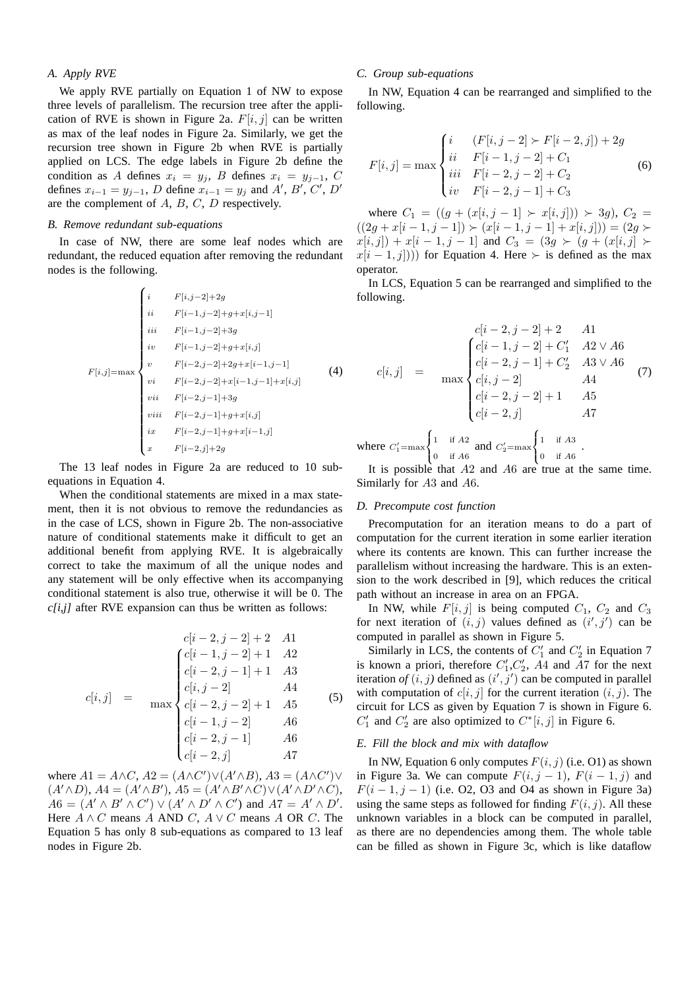# *A. Apply RVE*

We apply RVE partially on Equation 1 of NW to expose three levels of parallelism. The recursion tree after the application of RVE is shown in Figure 2a.  $F[i, j]$  can be written as max of the leaf nodes in Figure 2a. Similarly, we get the recursion tree shown in Figure 2b when RVE is partially applied on LCS. The edge labels in Figure 2b define the condition as A defines  $x_i = y_j$ , B defines  $x_i = y_{j-1}$ , C defines  $x_{i-1} = y_{j-1}$ , D define  $x_{i-1} = y_j$  and A', B', C', D' are the complement of A, B, C, D respectively.

## *B. Remove redundant sub-equations*

In case of NW, there are some leaf nodes which are redundant, the reduced equation after removing the redundant nodes is the following.

$$
F[i,j-2]+2g
$$
\n
$$
i i \t F[i-1,j-2]+g+x[i,j-1]
$$
\n
$$
ii i \t F[i-1,j-2]+3g
$$
\n
$$
i v \t F[i-1,j-2]+2g+x[i,j]
$$
\n
$$
F[i-2,j-2]+2g+x[i-1,j-1]
$$
\n
$$
v i \t F[i-2,j-2]+x[i-1,j-1]+x[i,j]
$$
\n
$$
v ii \t F[i-2,j-1]+3g
$$
\n
$$
v ii \t F[i-2,j-1]+g+x[i,j]
$$
\n
$$
i x \t F[i-2,j-1]+g+x[i-1,j]
$$
\n
$$
x \t F[i-2,j]+2g
$$

The 13 leaf nodes in Figure 2a are reduced to 10 subequations in Equation 4.

When the conditional statements are mixed in a max statement, then it is not obvious to remove the redundancies as in the case of LCS, shown in Figure 2b. The non-associative nature of conditional statements make it difficult to get an additional benefit from applying RVE. It is algebraically correct to take the maximum of all the unique nodes and any statement will be only effective when its accompanying conditional statement is also true, otherwise it will be 0. The *c[i,j]* after RVE expansion can thus be written as follows:

$$
c[i, j] = \max \begin{cases} c[i-2, j-2]+2 & A1 \\ c[i-1, j-2]+1 & A2 \\ c[i-2, j-1]+1 & A3 \\ c[i, j-2] & A4 \\ c[i-2, j-2]+1 & A5 \\ c[i-1, j-2] & A6 \\ c[i-2, j-1] & A6 \\ c[i-2, j] & A7 \end{cases}
$$
 (5)

where  $A1 = A \wedge C$ ,  $A2 = (A \wedge C') \vee (A' \wedge B)$ ,  $A3 = (A \wedge C') \vee$  $(A' \wedge D), A4 = (A' \wedge B'), A5 = (A' \wedge B' \wedge C) \vee (A' \wedge D' \wedge C),$  $A6 = (A' \wedge B' \wedge C') \vee (A' \wedge D' \wedge C')$  and  $A7 = A' \wedge D'$ . Here  $A \wedge C$  means A AND C,  $A \vee C$  means A OR C. The Equation 5 has only 8 sub-equations as compared to 13 leaf nodes in Figure 2b.

# *C. Group sub-equations*

In NW, Equation 4 can be rearranged and simplified to the following.

$$
F[i,j] = \max \begin{cases} i & (F[i,j-2] \succ F[i-2,j]) + 2g \\ ii & F[i-1,j-2] + C_1 \\ iii & F[i-2,j-2] + C_2 \\ iv & F[i-2,j-1] + C_3 \end{cases}
$$
(6)

where  $C_1 = ((q + (x[i, j - 1] \succ x[i, j])) \succ 3q$ ,  $C_2$  $((2g + x[i-1, j-1]) \succ (x[i-1, j-1] + x[i, j])) = (2g \succ$  $x[i, j]) + x[i - 1, j - 1]$  and  $C_3 = (3g \succ (g + (x[i, j]) \succ$  $x[i - 1, j])$  for Equation 4. Here ≻ is defined as the max operator.

In LCS, Equation 5 can be rearranged and simplified to the following.

$$
c[i,j] = \max \begin{cases} c[i-2,j-2]+2 & A1\\ c[i-1,j-2]+C'_1 & A2 \vee A6\\ c[i-2,j-1]+C'_2 & A3 \vee A6\\ c[i,j-2] & A4 \end{cases}
$$
 (7)  
Here  $C'_1 = \max \begin{cases} 1 & \text{if } A2 \\ 0 & \text{if } A2 \end{cases}$  and  $C'_2 = \max \begin{cases} 1 & \text{if } A3 \\ 0 & \text{if } A3 \end{cases}$ .

 $\begin{bmatrix} 0 & \text{if } A6 \end{bmatrix}$  $\begin{pmatrix} 0 & \text{if } A6 \end{pmatrix}$ It is possible that  $A2$  and  $A6$  are true at the same time. Similarly for A3 and A6.

# *D. Precompute cost function*

 $wh$ 

Precomputation for an iteration means to do a part of computation for the current iteration in some earlier iteration where its contents are known. This can further increase the parallelism without increasing the hardware. This is an extension to the work described in [9], which reduces the critical path without an increase in area on an FPGA.

In NW, while  $F[i, j]$  is being computed  $C_1$ ,  $C_2$  and  $C_3$ for next iteration of  $(i, j)$  values defined as  $(i', j')$  can be computed in parallel as shown in Figure 5.

Similarly in LCS, the contents of  $C_1'$  and  $C_2'$  in Equation 7 Similarly in ECS, the contents of  $C_1$  and  $C_2$  in Equation 7<br>is known a priori, therefore  $C'_1$ ,  $C'_2$ , A4 and A7 for the next<br>iteration of  $(i, i)$  defined as  $(i', i')$  are be approved in parallal iteration of  $(i, j)$  defined as  $(i', j')$  can be computed in parallel with computation of  $c[i, j]$  for the current iteration  $(i, j)$ . The circuit for LCS as given by Equation 7 is shown in Figure 6.  $C'_1$  and  $C'_2$  are also optimized to  $C^*[i,j]$  in Figure 6.

#### *E. Fill the block and mix with dataflow*

In NW, Equation 6 only computes  $F(i, j)$  (i.e. O1) as shown in Figure 3a. We can compute  $F(i, j - 1)$ ,  $F(i - 1, j)$  and  $F(i-1, j-1)$  (i.e. O2, O3 and O4 as shown in Figure 3a) using the same steps as followed for finding  $F(i, j)$ . All these unknown variables in a block can be computed in parallel, as there are no dependencies among them. The whole table can be filled as shown in Figure 3c, which is like dataflow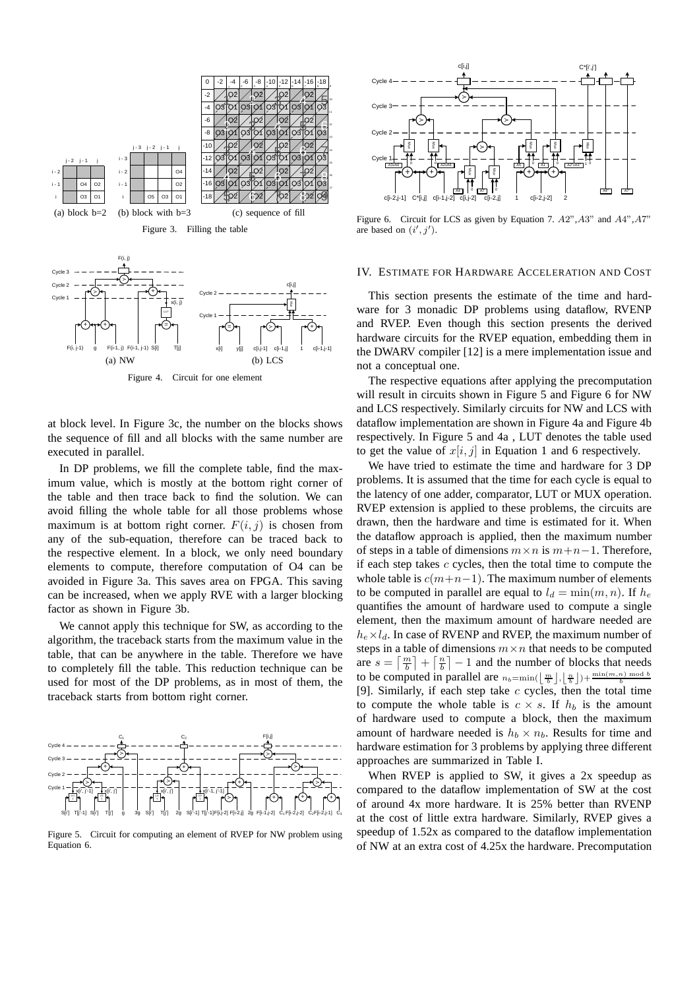

at block level. In Figure 3c, the number on the blocks shows the sequence of fill and all blocks with the same number are executed in parallel.

Figure 4. Circuit for one element

In DP problems, we fill the complete table, find the maximum value, which is mostly at the bottom right corner of the table and then trace back to find the solution. We can avoid filling the whole table for all those problems whose maximum is at bottom right corner.  $F(i, j)$  is chosen from any of the sub-equation, therefore can be traced back to the respective element. In a block, we only need boundary elements to compute, therefore computation of O4 can be avoided in Figure 3a. This saves area on FPGA. This saving can be increased, when we apply RVE with a larger blocking factor as shown in Figure 3b.

We cannot apply this technique for SW, as according to the algorithm, the traceback starts from the maximum value in the table, that can be anywhere in the table. Therefore we have to completely fill the table. This reduction technique can be used for most of the DP problems, as in most of them, the traceback starts from bottom right corner.



Figure 5. Circuit for computing an element of RVEP for NW problem using Equation 6.



Figure 6. Circuit for LCS as given by Equation 7.  $A2^{\prime\prime}, A3^{\prime\prime}$  and  $A4^{\prime\prime}, A7^{\prime\prime}$ are based on  $(i', j')$ .

#### IV. ESTIMATE FOR HARDWARE ACCELERATION AND COST

This section presents the estimate of the time and hardware for 3 monadic DP problems using dataflow, RVENP and RVEP. Even though this section presents the derived hardware circuits for the RVEP equation, embedding them in the DWARV compiler [12] is a mere implementation issue and not a conceptual one.

The respective equations after applying the precomputation will result in circuits shown in Figure 5 and Figure 6 for NW and LCS respectively. Similarly circuits for NW and LCS with dataflow implementation are shown in Figure 4a and Figure 4b respectively. In Figure 5 and 4a , LUT denotes the table used to get the value of  $x[i, j]$  in Equation 1 and 6 respectively.

We have tried to estimate the time and hardware for 3 DP problems. It is assumed that the time for each cycle is equal to the latency of one adder, comparator, LUT or MUX operation. RVEP extension is applied to these problems, the circuits are drawn, then the hardware and time is estimated for it. When the dataflow approach is applied, then the maximum number of steps in a table of dimensions  $m \times n$  is  $m+n-1$ . Therefore, if each step takes  $c$  cycles, then the total time to compute the whole table is  $c(m+n-1)$ . The maximum number of elements to be computed in parallel are equal to  $l_d = \min(m, n)$ . If  $h_e$ quantifies the amount of hardware used to compute a single element, then the maximum amount of hardware needed are  $h_e \times l_d$ . In case of RVENP and RVEP, the maximum number of steps in a table of dimensions  $m \times n$  that needs to be computed are  $s = \lceil \frac{m}{b} \rceil + \lceil \frac{h}{b} \rceil - 1$  and the number of blocks that needs to be computed in parallel are  $n_b = \min(\left\lfloor \frac{m}{b} \right\rfloor, \left\lfloor \frac{n}{b} \right\rfloor) + \frac{\min(m,n) \mod b}{b}$ [9]. Similarly, if each step take  $c$  cycles, then the total time to compute the whole table is  $c \times s$ . If  $h_b$  is the amount of hardware used to compute a block, then the maximum amount of hardware needed is  $h_b \times n_b$ . Results for time and hardware estimation for 3 problems by applying three different approaches are summarized in Table I.

When RVEP is applied to SW, it gives a 2x speedup as compared to the dataflow implementation of SW at the cost of around 4x more hardware. It is 25% better than RVENP at the cost of little extra hardware. Similarly, RVEP gives a speedup of 1.52x as compared to the dataflow implementation of NW at an extra cost of 4.25x the hardware. Precomputation